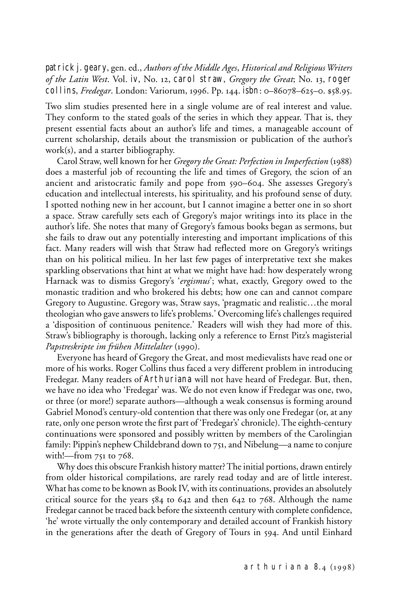patrick j. geary, gen. ed., *Authors of the Middle Ages*, *Historical and Religious Writers of the Latin West*. Vol. iv, No. 12, carol straw, *Gregory the Great*; No. 13, roger collins, *Fredegar*. London: Variorum, 1996. Pp. 144. isbn: 0–86078–625–0. \$58.95.

Two slim studies presented here in a single volume are of real interest and value. They conform to the stated goals of the series in which they appear. That is, they present essential facts about an author's life and times, a manageable account of current scholarship, details about the transmission or publication of the author's work(s), and a starter bibliography.

Carol Straw, well known for her *Gregory the Great: Perfection in Imperfection* (1988) does a masterful job of recounting the life and times of Gregory, the scion of an ancient and aristocratic family and pope from 590–604. She assesses Gregory's education and intellectual interests, his spirituality, and his profound sense of duty. I spotted nothing new in her account, but I cannot imagine a better one in so short a space. Straw carefully sets each of Gregory's major writings into its place in the author's life. She notes that many of Gregory's famous books began as sermons, but she fails to draw out any potentially interesting and important implications of this fact. Many readers will wish that Straw had reflected more on Gregory's writings than on his political milieu. In her last few pages of interpretative text she makes sparkling observations that hint at what we might have had: how desperately wrong Harnack was to dismiss Gregory's '*ergismus*'; what, exactly, Gregory owed to the monastic tradition and who brokered his debts; how one can and cannot compare Gregory to Augustine. Gregory was, Straw says, 'pragmatic and realistic…the moral theologian who gave answers to life's problems.' Overcoming life's challenges required a 'disposition of continuous penitence.' Readers will wish they had more of this. Straw's bibliography is thorough, lacking only a reference to Ernst Pitz's magisterial *Papstreskripte im frühen Mittelalter* (1990).

Everyone has heard of Gregory the Great, and most medievalists have read one or more of his works. Roger Collins thus faced a very different problem in introducing Fredegar. Many readers of Arthuriana will not have heard of Fredegar. But, then, we have no idea who 'Fredegar' was. We do not even know if Fredegar was one, two, or three (or more!) separate authors—although a weak consensus is forming around Gabriel Monod's century-old contention that there was only one Fredegar (or, at any rate, only one person wrote the first part of 'Fredegar's' chronicle). The eighth-century continuations were sponsored and possibly written by members of the Carolingian family: Pippin's nephew Childebrand down to 751, and Nibelung—a name to conjure with!—from 751 to 768.

Why does this obscure Frankish history matter? The initial portions, drawn entirely from older historical compilations, are rarely read today and are of little interest. What has come to be known as Book IV, with its continuations, provides an absolutely critical source for the years 584 to 642 and then 642 to 768. Although the name Fredegar cannot be traced back before the sixteenth century with complete confidence, 'he' wrote virtually the only contemporary and detailed account of Frankish history in the generations after the death of Gregory of Tours in 594. And until Einhard